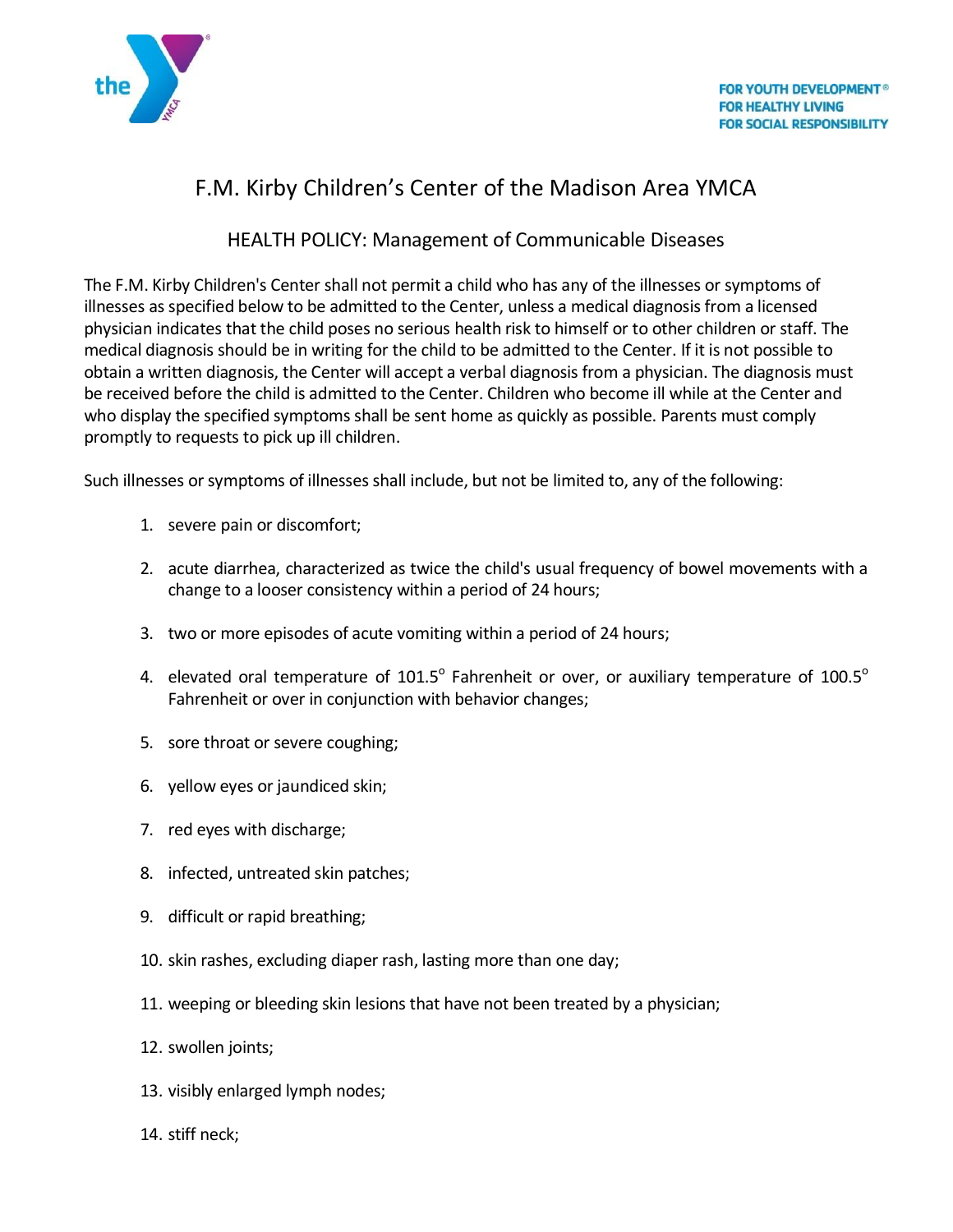

# F.M. Kirby Children's Center of the Madison Area YMCA

# HEALTH POLICY: Management of Communicable Diseases

The F.M. Kirby Children's Center shall not permit a child who has any of the illnesses or symptoms of illnesses as specified below to be admitted to the Center, unless a medical diagnosis from a licensed physician indicates that the child poses no serious health risk to himself or to other children or staff. The medical diagnosis should be in writing for the child to be admitted to the Center. If it is not possible to obtain a written diagnosis, the Center will accept a verbal diagnosis from a physician. The diagnosis must be received before the child is admitted to the Center. Children who become ill while at the Center and who display the specified symptoms shall be sent home as quickly as possible. Parents must comply promptly to requests to pick up ill children.

Such illnesses or symptoms of illnesses shall include, but not be limited to, any of the following:

- 1. severe pain or discomfort;
- 2. acute diarrhea, characterized as twice the child's usual frequency of bowel movements with a change to a looser consistency within a period of 24 hours;
- 3. two or more episodes of acute vomiting within a period of 24 hours;
- 4. elevated oral temperature of 101.5 $^{\circ}$  Fahrenheit or over, or auxiliary temperature of 100.5 $^{\circ}$ Fahrenheit or over in conjunction with behavior changes;
- 5. sore throat or severe coughing;
- 6. yellow eyes or jaundiced skin;
- 7. red eyes with discharge;
- 8. infected, untreated skin patches;
- 9. difficult or rapid breathing;
- 10. skin rashes, excluding diaper rash, lasting more than one day;
- 11. weeping or bleeding skin lesions that have not been treated by a physician;
- 12. swollen joints;
- 13. visibly enlarged lymph nodes;
- 14. stiff neck;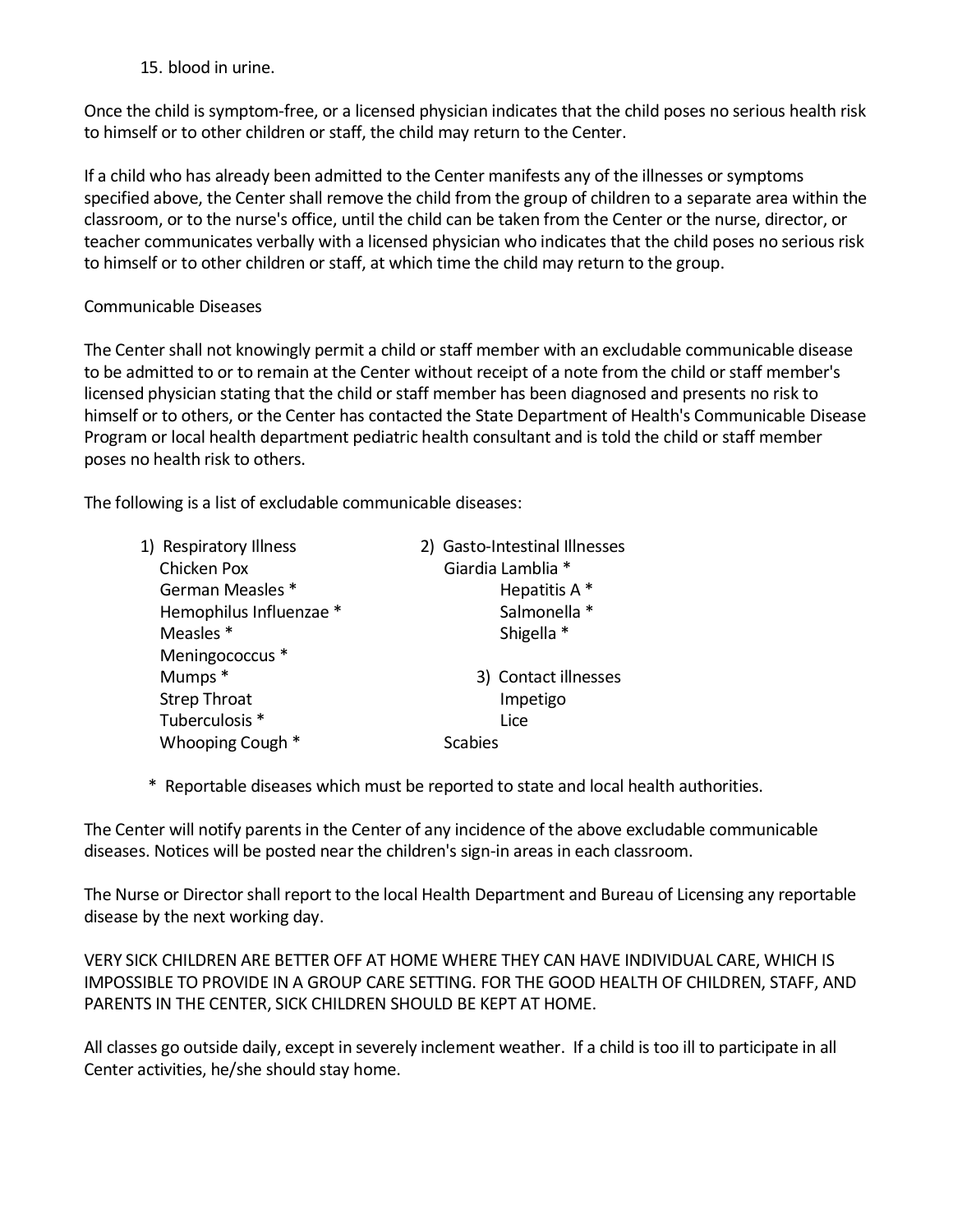15. blood in urine.

Once the child is symptom-free, or a licensed physician indicates that the child poses no serious health risk to himself or to other children or staff, the child may return to the Center.

If a child who has already been admitted to the Center manifests any of the illnesses or symptoms specified above, the Center shall remove the child from the group of children to a separate area within the classroom, or to the nurse's office, until the child can be taken from the Center or the nurse, director, or teacher communicates verbally with a licensed physician who indicates that the child poses no serious risk to himself or to other children or staff, at which time the child may return to the group.

## Communicable Diseases

The Center shall not knowingly permit a child or staff member with an excludable communicable disease to be admitted to or to remain at the Center without receipt of a note from the child or staff member's licensed physician stating that the child or staff member has been diagnosed and presents no risk to himself or to others, or the Center has contacted the State Department of Health's Communicable Disease Program or local health department pediatric health consultant and is told the child or staff member poses no health risk to others.

The following is a list of excludable communicable diseases:

| 1) Respiratory Illness  | 2) Gasto-Intestinal Illnesses |
|-------------------------|-------------------------------|
| Chicken Pox             | Giardia Lamblia *             |
| German Measles *        | Hepatitis A*                  |
| Hemophilus Influenzae * | Salmonella *                  |
| Measles <sup>*</sup>    | Shigella *                    |
| Meningococcus *         |                               |
| Mumps *                 | 3) Contact illnesses          |
| <b>Strep Throat</b>     | Impetigo                      |
| Tuberculosis *          | Lice                          |
| Whooping Cough *        | Scabies                       |

\* Reportable diseases which must be reported to state and local health authorities.

The Center will notify parents in the Center of any incidence of the above excludable communicable diseases. Notices will be posted near the children's sign-in areas in each classroom.

The Nurse or Director shall report to the local Health Department and Bureau of Licensing any reportable disease by the next working day.

VERY SICK CHILDREN ARE BETTER OFF AT HOME WHERE THEY CAN HAVE INDIVIDUAL CARE, WHICH IS IMPOSSIBLE TO PROVIDE IN A GROUP CARE SETTING. FOR THE GOOD HEALTH OF CHILDREN, STAFF, AND PARENTS IN THE CENTER, SICK CHILDREN SHOULD BE KEPT AT HOME.

All classes go outside daily, except in severely inclement weather. If a child is too ill to participate in all Center activities, he/she should stay home.